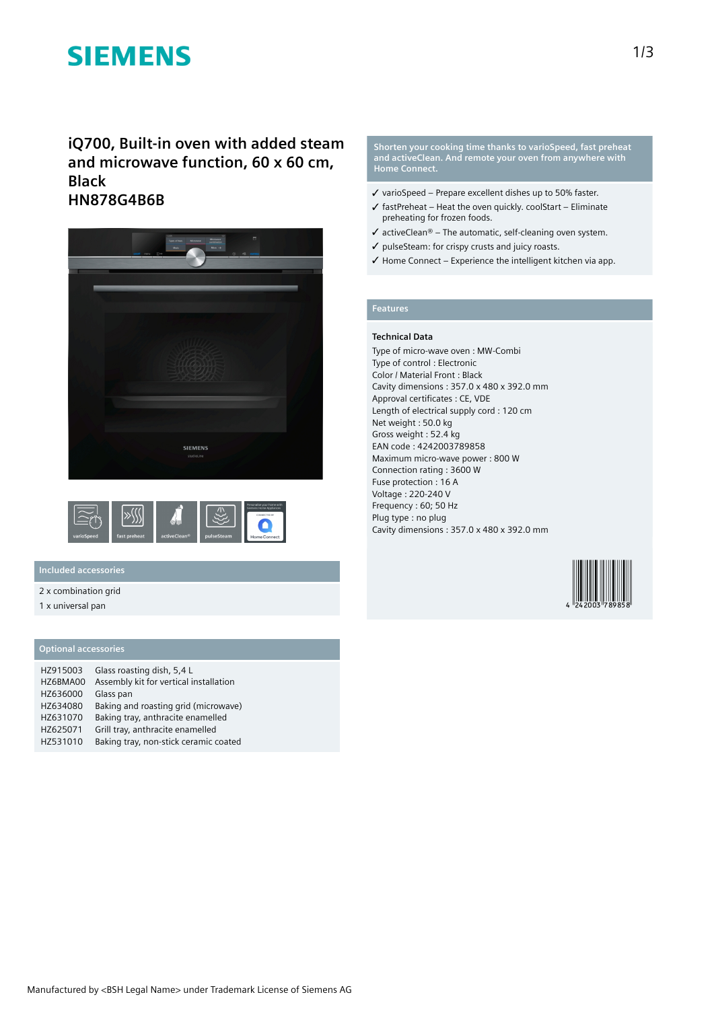# **SIEMENS**

**iQ700, Built-in oven with added steam and microwave function, 60 x 60 cm, Black HN878G4B6B**





#### **Included accessories**

#### 2 x combination grid

1 x universal pan

#### **Optional accessories**

| HZ915003 | Glass roasting dish, 5,4 L             |
|----------|----------------------------------------|
| HZ6BMA00 | Assembly kit for vertical installation |
| HZ636000 | Glass pan                              |
| HZ634080 | Baking and roasting grid (microwave)   |
| HZ631070 | Baking tray, anthracite enamelled      |
| HZ625071 | Grill tray, anthracite enamelled       |
| HZ531010 | Baking tray, non-stick ceramic coated  |

**Shorten your cooking time thanks to varioSpeed, fast preheat and activeClean. And remote your oven from anywhere with Home Connect.**

- ✓ varioSpeed Prepare excellent dishes up to 50% faster.
- $\checkmark$  fastPreheat Heat the oven quickly. coolStart Eliminate preheating for frozen foods.
- $\checkmark$  activeClean® The automatic, self-cleaning oven system.
- ✓ pulseSteam: for crispy crusts and juicy roasts.
- ✓ Home Connect Experience the intelligent kitchen via app.

### **Features**

#### **Technical Data**

Type of micro-wave oven : MW-Combi Type of control : Electronic Color / Material Front : Black Cavity dimensions : 357.0 x 480 x 392.0 mm Approval certificates : CE, VDE Length of electrical supply cord : 120 cm Net weight : 50.0 kg Gross weight : 52.4 kg EAN code : 4242003789858 Maximum micro-wave power : 800 W Connection rating : 3600 W Fuse protection : 16 A Voltage : 220-240 V Frequency : 60; 50 Hz Plug type : no plug Cavity dimensions : 357.0 x 480 x 392.0 mm

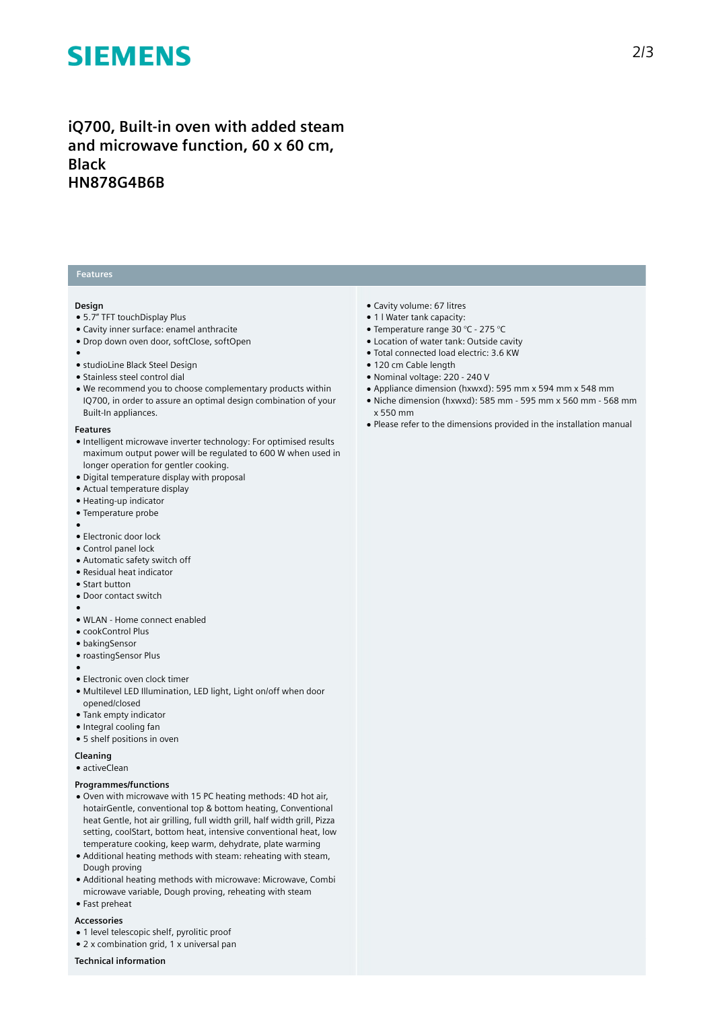# **SIEMENS**

## **iQ700, Built-in oven with added steam and microwave function, 60 x 60 cm, Black HN878G4B6B**

#### **Features**

#### **Design**

- 5.7" TFT touchDisplay Plus
- Cavity inner surface: enamel anthracite
- Drop down oven door, softClose, softOpen
- ●
- studioLine Black Steel Design
- Stainless steel control dial
- We recommend you to choose complementary products within IQ700, in order to assure an optimal design combination of your Built-In appliances.

#### **Features**

- Intelligent microwave inverter technology: For optimised results maximum output power will be regulated to 600 W when used in longer operation for gentler cooking.
- Digital temperature display with proposal
- Actual temperature display
- Heating-up indicator
- Temperature probe
- ●
- Electronic door lock
- Control panel lock
- Automatic safety switch off
- Residual heat indicator
- Start button
- Door contact switch
- ●
- WLAN Home connect enabled
- cookControl Plus
- bakingSensor
- roastingSensor Plus
- ●
- Electronic oven clock timer
- Multilevel LED Illumination, LED light, Light on/off when door opened/closed
- Tank empty indicator
- Integral cooling fan
- 5 shelf positions in oven
- **Cleaning**
- activeClean

#### **Programmes/functions**

- Oven with microwave with 15 PC heating methods: 4D hot air, hotairGentle, conventional top & bottom heating, Conventional heat Gentle, hot air grilling, full width grill, half width grill, Pizza setting, coolStart, bottom heat, intensive conventional heat, low temperature cooking, keep warm, dehydrate, plate warming
- Additional heating methods with steam: reheating with steam, Dough proving
- Additional heating methods with microwave: Microwave, Combi microwave variable, Dough proving, reheating with steam ● Fast preheat

### **Accessories**

- 1 level telescopic shelf, pyrolitic proof
- 2 x combination grid, 1 x universal pan
- **Technical information**
- Cavity volume: 67 litres
- 1 l Water tank capacity:
- Temperature range 30 °C 275 °C
- Location of water tank: Outside cavity
- Total connected load electric: 3.6 KW
- 120 cm Cable length
- Nominal voltage: 220 240 V
- Appliance dimension (hxwxd): 595 mm x 594 mm x 548 mm
- Niche dimension (hxwxd): 585 mm 595 mm x 560 mm 568 mm x 550 mm
- Please refer to the dimensions provided in the installation manual